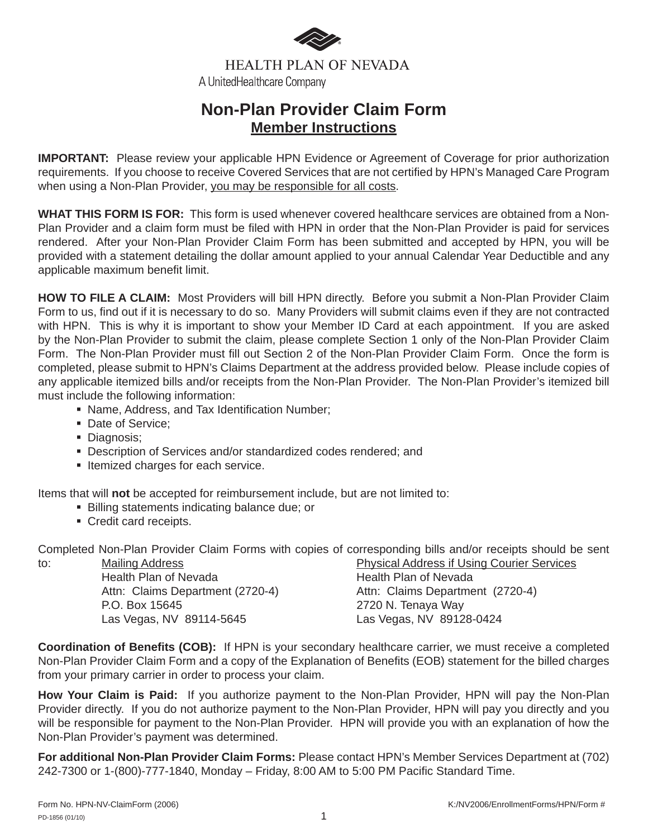

**HEALTH PLAN OF NEVADA** A UnitedHealthcare Company

## **Non-Plan Provider Claim Form Member Instructions**

**IMPORTANT:** Please review your applicable HPN Evidence or Agreement of Coverage for prior authorization requirements. If you choose to receive Covered Services that are not certified by HPN's Managed Care Program when using a Non-Plan Provider, you may be responsible for all costs.

**WHAT THIS FORM IS FOR:** This form is used whenever covered healthcare services are obtained from a Non-Plan Provider and a claim form must be filed with HPN in order that the Non-Plan Provider is paid for services rendered. After your Non-Plan Provider Claim Form has been submitted and accepted by HPN, you will be provided with a statement detailing the dollar amount applied to your annual Calendar Year Deductible and any applicable maximum benefit limit.

**HOW TO FILE A CLAIM:** Most Providers will bill HPN directly. Before you submit a Non-Plan Provider Claim Form to us, find out if it is necessary to do so. Many Providers will submit claims even if they are not contracted with HPN. This is why it is important to show your Member ID Card at each appointment. If you are asked by the Non-Plan Provider to submit the claim, please complete Section 1 only of the Non-Plan Provider Claim Form. The Non-Plan Provider must fill out Section 2 of the Non-Plan Provider Claim Form. Once the form is completed, please submit to HPN's Claims Department at the address provided below. Please include copies of any applicable itemized bills and/or receipts from the Non-Plan Provider. The Non-Plan Provider's itemized bill must include the following information:

- Name, Address, and Tax Identification Number;
- Date of Service;
- Diagnosis;
- Description of Services and/or standardized codes rendered; and
- **Itemized charges for each service.**

Items that will **not** be accepted for reimbursement include, but are not limited to:

- **Billing statements indicating balance due; or**
- Credit card receipts.

Completed Non-Plan Provider Claim Forms with copies of corresponding bills and/or receipts should be sent

to: Mailing Address Mailing Address **Physical Address if Using Courier Services** Health Plan of Nevada<br>
Health Plan of Nevada Attn: Claims Department (2720-4) Attn: Claims Department (2720-4) P.O. Box 15645 2720 N. Tenaya Way Las Vegas, NV 89114-5645 Las Vegas, NV 89128-0424

**Coordination of Benefits (COB):** If HPN is your secondary healthcare carrier, we must receive a completed Non-Plan Provider Claim Form and a copy of the Explanation of Benefits (EOB) statement for the billed charges from your primary carrier in order to process your claim.

**How Your Claim is Paid:** If you authorize payment to the Non-Plan Provider, HPN will pay the Non-Plan Provider directly. If you do not authorize payment to the Non-Plan Provider, HPN will pay you directly and you will be responsible for payment to the Non-Plan Provider. HPN will provide you with an explanation of how the Non-Plan Provider's payment was determined.

**For additional Non-Plan Provider Claim Forms:** Please contact HPN's Member Services Department at (702) 242-7300 or 1-(800)-777-1840, Monday – Friday, 8:00 AM to 5:00 PM Pacific Standard Time.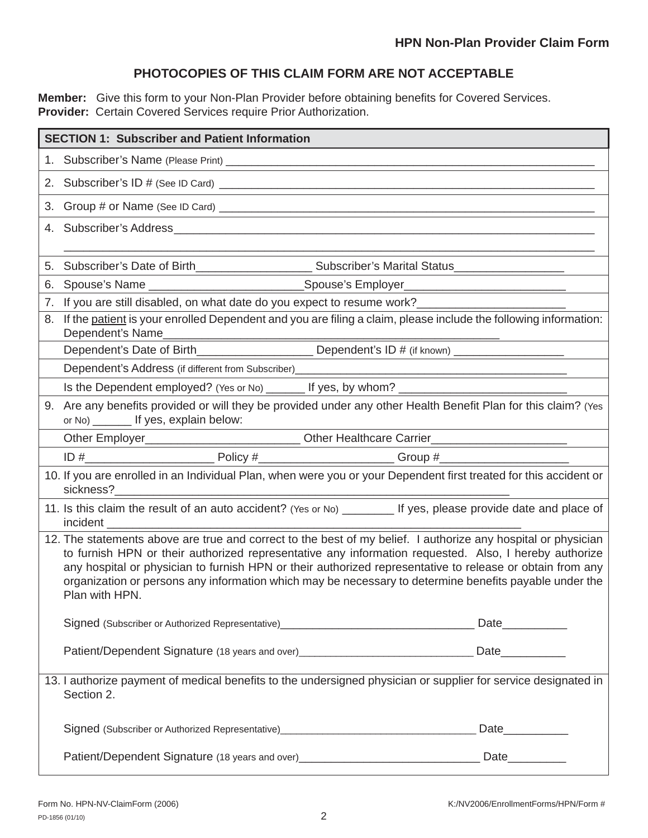## **PHOTOCOPIES OF THIS CLAIM FORM ARE NOT ACCEPTABLE**

Member: Give this form to your Non-Plan Provider before obtaining benefits for Covered Services. **Provider:** Certain Covered Services require Prior Authorization.

| <b>SECTION 1: Subscriber and Patient Information</b> |                                                                                                                                                                                                                                                                                                                                                                                                                                                                 |  |  |
|------------------------------------------------------|-----------------------------------------------------------------------------------------------------------------------------------------------------------------------------------------------------------------------------------------------------------------------------------------------------------------------------------------------------------------------------------------------------------------------------------------------------------------|--|--|
|                                                      |                                                                                                                                                                                                                                                                                                                                                                                                                                                                 |  |  |
|                                                      |                                                                                                                                                                                                                                                                                                                                                                                                                                                                 |  |  |
|                                                      |                                                                                                                                                                                                                                                                                                                                                                                                                                                                 |  |  |
|                                                      |                                                                                                                                                                                                                                                                                                                                                                                                                                                                 |  |  |
| 5.                                                   |                                                                                                                                                                                                                                                                                                                                                                                                                                                                 |  |  |
| 6.                                                   |                                                                                                                                                                                                                                                                                                                                                                                                                                                                 |  |  |
| 7.                                                   |                                                                                                                                                                                                                                                                                                                                                                                                                                                                 |  |  |
| 8.                                                   | If the patient is your enrolled Dependent and you are filing a claim, please include the following information:<br>Dependent's Name                                                                                                                                                                                                                                                                                                                             |  |  |
|                                                      |                                                                                                                                                                                                                                                                                                                                                                                                                                                                 |  |  |
|                                                      | Dependent's Address (if different from Subscriber)<br><b>Example 2014</b>                                                                                                                                                                                                                                                                                                                                                                                       |  |  |
|                                                      |                                                                                                                                                                                                                                                                                                                                                                                                                                                                 |  |  |
|                                                      | 9. Are any benefits provided or will they be provided under any other Health Benefit Plan for this claim? (Yes<br>or No) ________ If yes, explain below:                                                                                                                                                                                                                                                                                                        |  |  |
|                                                      |                                                                                                                                                                                                                                                                                                                                                                                                                                                                 |  |  |
|                                                      |                                                                                                                                                                                                                                                                                                                                                                                                                                                                 |  |  |
|                                                      | 10. If you are enrolled in an Individual Plan, when were you or your Dependent first treated for this accident or<br>sickness?                                                                                                                                                                                                                                                                                                                                  |  |  |
|                                                      | 11. Is this claim the result of an auto accident? (Yes or No) ________ If yes, please provide date and place of                                                                                                                                                                                                                                                                                                                                                 |  |  |
|                                                      | 12. The statements above are true and correct to the best of my belief. I authorize any hospital or physician<br>to furnish HPN or their authorized representative any information requested. Also, I hereby authorize<br>any hospital or physician to furnish HPN or their authorized representative to release or obtain from any<br>organization or persons any information which may be necessary to determine benefits payable under the<br>Plan with HPN. |  |  |
|                                                      |                                                                                                                                                                                                                                                                                                                                                                                                                                                                 |  |  |
|                                                      |                                                                                                                                                                                                                                                                                                                                                                                                                                                                 |  |  |
|                                                      | 13. I authorize payment of medical benefits to the undersigned physician or supplier for service designated in<br>Section 2.                                                                                                                                                                                                                                                                                                                                    |  |  |
|                                                      | Signed (Subscriber or Authorized Representative) Manual Communication and Date Communication of Signed (Subscriber or Authorized Representative) Manual Communication and Date                                                                                                                                                                                                                                                                                  |  |  |
|                                                      |                                                                                                                                                                                                                                                                                                                                                                                                                                                                 |  |  |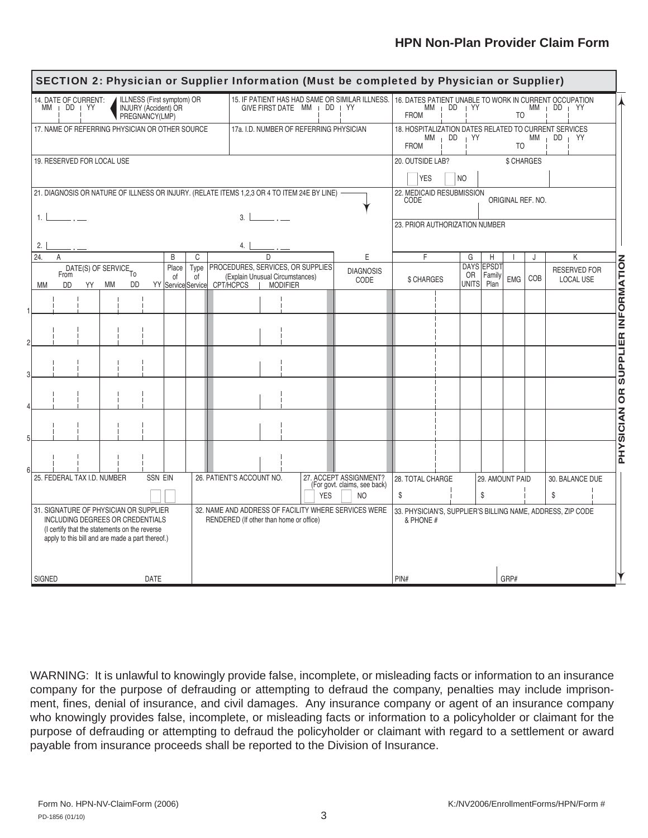## **HPN Non-Plan Provider Claim Form**

| SECTION 2: Physician or Supplier Information (Must be completed by Physician or Supplier)                                                                                       |                                                                                                                                  |                                                                                                                                                                                |  |
|---------------------------------------------------------------------------------------------------------------------------------------------------------------------------------|----------------------------------------------------------------------------------------------------------------------------------|--------------------------------------------------------------------------------------------------------------------------------------------------------------------------------|--|
| ILLNESS (First symptom) OR<br>14. DATE OF CURRENT:<br>$MM$  <br>$DD + YY$<br><b>INJURY (Accident) OR</b><br>PREGNANCY(LMP)                                                      | 15. IF PATIENT HAS HAD SAME OR SIMILAR ILLNESS.<br>GIVE FIRST DATE MM   DD   YY                                                  | 16. DATES PATIENT UNABLE TO WORK IN CURRENT OCCUPATION<br>MM DD<br>i YY<br>МM<br>DD YY<br>$\mathbf{I}$<br><b>FROM</b><br>T <sub>O</sub>                                        |  |
| 17. NAME OF REFERRING PHYSICIAN OR OTHER SOURCE                                                                                                                                 | 17a. I.D. NUMBER OF REFERRING PHYSICIAN                                                                                          | 18. HOSPITALIZATION DATES RELATED TO CURRENT SERVICES<br>$\overline{D}$<br>YY<br>DD YY<br>МM<br>МM<br><b>FROM</b><br>T <sub>O</sub>                                            |  |
| 19. RESERVED FOR LOCAL USE                                                                                                                                                      |                                                                                                                                  | 20. OUTSIDE LAB?<br>\$ CHARGES<br><b>YES</b><br>NO                                                                                                                             |  |
| 21. DIAGNOSIS OR NATURE OF ILLNESS OR INJURY. (RELATE ITEMS 1,2,3 OR 4 TO ITEM 24E BY LINE)<br>1.1                                                                              | 3.                                                                                                                               | 22. MEDICAID RESUBMISSION<br>ORIGINAL REF. NO.<br>CODE                                                                                                                         |  |
| 2.                                                                                                                                                                              | 23. PRIOR AUTHORIZATION NUMBER                                                                                                   |                                                                                                                                                                                |  |
| 24.<br>B<br>C<br>A                                                                                                                                                              | E<br>D                                                                                                                           | F<br>K<br>G<br>H<br>J                                                                                                                                                          |  |
| Place<br>Type<br>DATE(S) OF SERVICE <sub>TO</sub><br>From<br>0f<br>of<br>DD<br><b>DD</b><br>YY Service Service<br>МM<br>YY<br>МM                                                | PROCEDURES, SERVICES, OR SUPPLIES<br><b>DIAGNOSIS</b><br>(Explain Unusual Circumstances)<br>CODE<br>CPT/HCPCS<br><b>MODIFIER</b> | <b>SUPPLIER INFORMATION</b><br><b>DAYS</b><br>EPSD <sub>1</sub><br><b>RESERVED FOR</b><br>OR<br>Family<br>COB<br>EMG<br><b>LOCAL USE</b><br>\$ CHARGES<br><b>UNITS</b><br>Plan |  |
|                                                                                                                                                                                 |                                                                                                                                  |                                                                                                                                                                                |  |
|                                                                                                                                                                                 |                                                                                                                                  |                                                                                                                                                                                |  |
|                                                                                                                                                                                 |                                                                                                                                  |                                                                                                                                                                                |  |
|                                                                                                                                                                                 |                                                                                                                                  |                                                                                                                                                                                |  |
|                                                                                                                                                                                 |                                                                                                                                  | <b>PHYSICIAN OR</b>                                                                                                                                                            |  |
|                                                                                                                                                                                 |                                                                                                                                  |                                                                                                                                                                                |  |
| 25. FEDERAL TAX I.D. NUMBER<br><b>SSN EIN</b>                                                                                                                                   | 26. PATIENT'S ACCOUNT NO.<br>27. ACCEPT ASSIGNMENT?<br>(For govt. claims, see back)<br><b>YES</b><br>NO.                         | 28. TOTAL CHARGE<br>30. BALANCE DUE<br>29. AMOUNT PAID<br>\$<br>\$<br>\$                                                                                                       |  |
| 31. SIGNATURE OF PHYSICIAN OR SUPPLIER<br>INCLUDING DEGREES OR CREDENTIALS<br>(I certify that the statements on the reverse<br>apply to this bill and are made a part thereof.) | 32. NAME AND ADDRESS OF FACILITY WHERE SERVICES WERE<br>RENDERED (If other than home or office)                                  | 33. PHYSICIAN'S, SUPPLIER'S BILLING NAME, ADDRESS, ZIP CODE<br>& PHONE #                                                                                                       |  |
| SIGNED<br>DATE                                                                                                                                                                  |                                                                                                                                  | PIN#<br>GRP#                                                                                                                                                                   |  |

WARNING: It is unlawful to knowingly provide false, incomplete, or misleading facts or information to an insurance company for the purpose of defrauding or attempting to defraud the company, penalties may include imprisonment, fines, denial of insurance, and civil damages. Any insurance company or agent of an insurance company who knowingly provides false, incomplete, or misleading facts or information to a policyholder or claimant for the purpose of defrauding or attempting to defraud the policyholder or claimant with regard to a settlement or award payable from insurance proceeds shall be reported to the Division of Insurance.